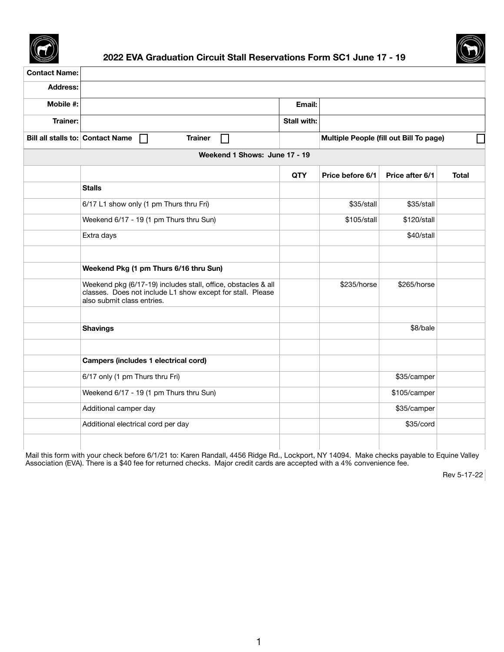



# **2022 EVA Graduation Circuit Stall Reservations Form SC1 June 17 - 19**

| <b>Contact Name:</b>          |                                                                                                                                                           |                    |                         |                                                |              |
|-------------------------------|-----------------------------------------------------------------------------------------------------------------------------------------------------------|--------------------|-------------------------|------------------------------------------------|--------------|
| <b>Address:</b>               |                                                                                                                                                           |                    |                         |                                                |              |
| <b>Mobile #:</b>              |                                                                                                                                                           | Email:             |                         |                                                |              |
| <b>Trainer:</b>               |                                                                                                                                                           | <b>Stall with:</b> |                         |                                                |              |
|                               | <b>Bill all stalls to: Contact Name</b><br><b>Trainer</b><br>$\mathbf{L}$<br>$\mathbf{1}$                                                                 |                    |                         | <b>Multiple People (fill out Bill To page)</b> |              |
| Weekend 1 Shows: June 17 - 19 |                                                                                                                                                           |                    |                         |                                                |              |
|                               |                                                                                                                                                           | <b>QTY</b>         | <b>Price before 6/1</b> | <b>Price after 6/1</b>                         | <b>Total</b> |
|                               | <b>Stalls</b>                                                                                                                                             |                    |                         |                                                |              |
|                               | 6/17 L1 show only (1 pm Thurs thru Fri)                                                                                                                   |                    | \$35/stall              | \$35/stall                                     |              |
|                               | Weekend 6/17 - 19 (1 pm Thurs thru Sun)                                                                                                                   |                    | \$105/stall             | \$120/stall                                    |              |
|                               | Extra days                                                                                                                                                |                    |                         | \$40/stall                                     |              |
|                               | Weekend Pkg (1 pm Thurs 6/16 thru Sun)                                                                                                                    |                    |                         |                                                |              |
|                               | Weekend pkg (6/17-19) includes stall, office, obstacles & all<br>classes. Does not include L1 show except for stall. Please<br>also submit class entries. |                    | \$235/horse             | $$265/h$ orse                                  |              |
|                               |                                                                                                                                                           |                    |                         |                                                |              |
|                               | <b>Shavings</b>                                                                                                                                           |                    |                         | \$8/bale                                       |              |
|                               |                                                                                                                                                           |                    |                         |                                                |              |
|                               | <b>Campers (includes 1 electrical cord)</b>                                                                                                               |                    |                         |                                                |              |
|                               | 6/17 only (1 pm Thurs thru Fri)                                                                                                                           |                    |                         | \$35/camper                                    |              |
|                               | Weekend 6/17 - 19 (1 pm Thurs thru Sun)                                                                                                                   |                    |                         | \$105/camper                                   |              |
|                               | Additional camper day                                                                                                                                     |                    |                         | \$35/camper                                    |              |

|                                                                                                                                          | Additional camper day              |  | \$35/Camper |  |  |
|------------------------------------------------------------------------------------------------------------------------------------------|------------------------------------|--|-------------|--|--|
|                                                                                                                                          | Additional electrical cord per day |  | \$35/cord   |  |  |
|                                                                                                                                          |                                    |  |             |  |  |
| Mail this form with your check before 6/1/21 to: Karen Randall, 4456 Ridge Rd., Lockport, NY 14094. Make checks payable to Equine Valley |                                    |  |             |  |  |

Association (EVA). There is a \$40 fee for returned checks. Major credit cards are accepted with a 4% convenience fee.

Rev 5-17-22

1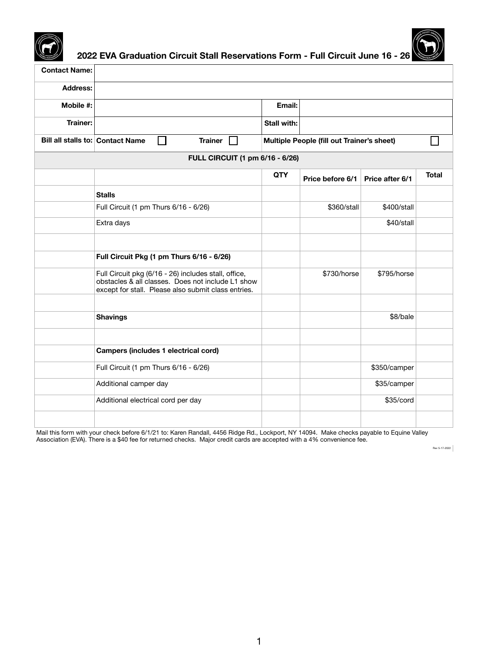



**2022 EVA Graduation Circuit Stall Reservations Form - Full Circuit June 16 - 26**

| <b>Contact Name:</b>                    |                                                                                                                                                                  |                    |                                                   |                        |              |
|-----------------------------------------|------------------------------------------------------------------------------------------------------------------------------------------------------------------|--------------------|---------------------------------------------------|------------------------|--------------|
| <b>Address:</b>                         |                                                                                                                                                                  |                    |                                                   |                        |              |
| <b>Mobile #:</b>                        |                                                                                                                                                                  | Email:             |                                                   |                        |              |
| <b>Trainer:</b>                         |                                                                                                                                                                  | <b>Stall with:</b> |                                                   |                        |              |
| <b>Bill all stalls to: Contact Name</b> | <b>Trainer</b>                                                                                                                                                   |                    | <b>Multiple People (fill out Trainer's sheet)</b> |                        |              |
|                                         | <b>FULL CIRCUIT (1 pm 6/16 - 6/26)</b>                                                                                                                           |                    |                                                   |                        |              |
|                                         |                                                                                                                                                                  | <b>QTY</b>         | Price before 6/1                                  | <b>Price after 6/1</b> | <b>Total</b> |
|                                         | <b>Stalls</b>                                                                                                                                                    |                    |                                                   |                        |              |
|                                         | Full Circuit (1 pm Thurs 6/16 - 6/26)                                                                                                                            |                    | \$360/stall                                       | \$400/stall            |              |
|                                         | Extra days                                                                                                                                                       |                    |                                                   | \$40/stall             |              |
|                                         | Full Circuit Pkg (1 pm Thurs 6/16 - 6/26)                                                                                                                        |                    |                                                   |                        |              |
|                                         | Full Circuit pkg (6/16 - 26) includes stall, office,<br>obstacles & all classes. Does not include L1 show<br>except for stall. Please also submit class entries. |                    | \$730/horse                                       | \$795/horse            |              |
|                                         |                                                                                                                                                                  |                    |                                                   |                        |              |
|                                         | <b>Shavings</b>                                                                                                                                                  |                    |                                                   | \$8/bale               |              |
|                                         | <b>Campers (includes 1 electrical cord)</b>                                                                                                                      |                    |                                                   |                        |              |
|                                         | Full Circuit (1 pm Thurs 6/16 - 6/26)                                                                                                                            |                    |                                                   | \$350/camper           |              |
|                                         | Additional camper day                                                                                                                                            |                    |                                                   | \$35/camper            |              |
|                                         | Additional electrical cord per day                                                                                                                               |                    |                                                   | \$35/cord              |              |

|  | . |  |  |
|--|---|--|--|
|  |   |  |  |
|  |   |  |  |
|  |   |  |  |
|  |   |  |  |
|  |   |  |  |
|  |   |  |  |
|  |   |  |  |
|  |   |  |  |
|  |   |  |  |
|  |   |  |  |
|  |   |  |  |
|  |   |  |  |
|  |   |  |  |
|  |   |  |  |

Mail this form with your check before 6/1/21 to: Karen Randall, 4456 Ridge Rd., Lockport, NY 14094. Make checks payable to Equine Valley Association (EVA). There is a \$40 fee for returned checks. Major credit cards are accepted with a 4% convenience fee.

Rev 5-17-2022